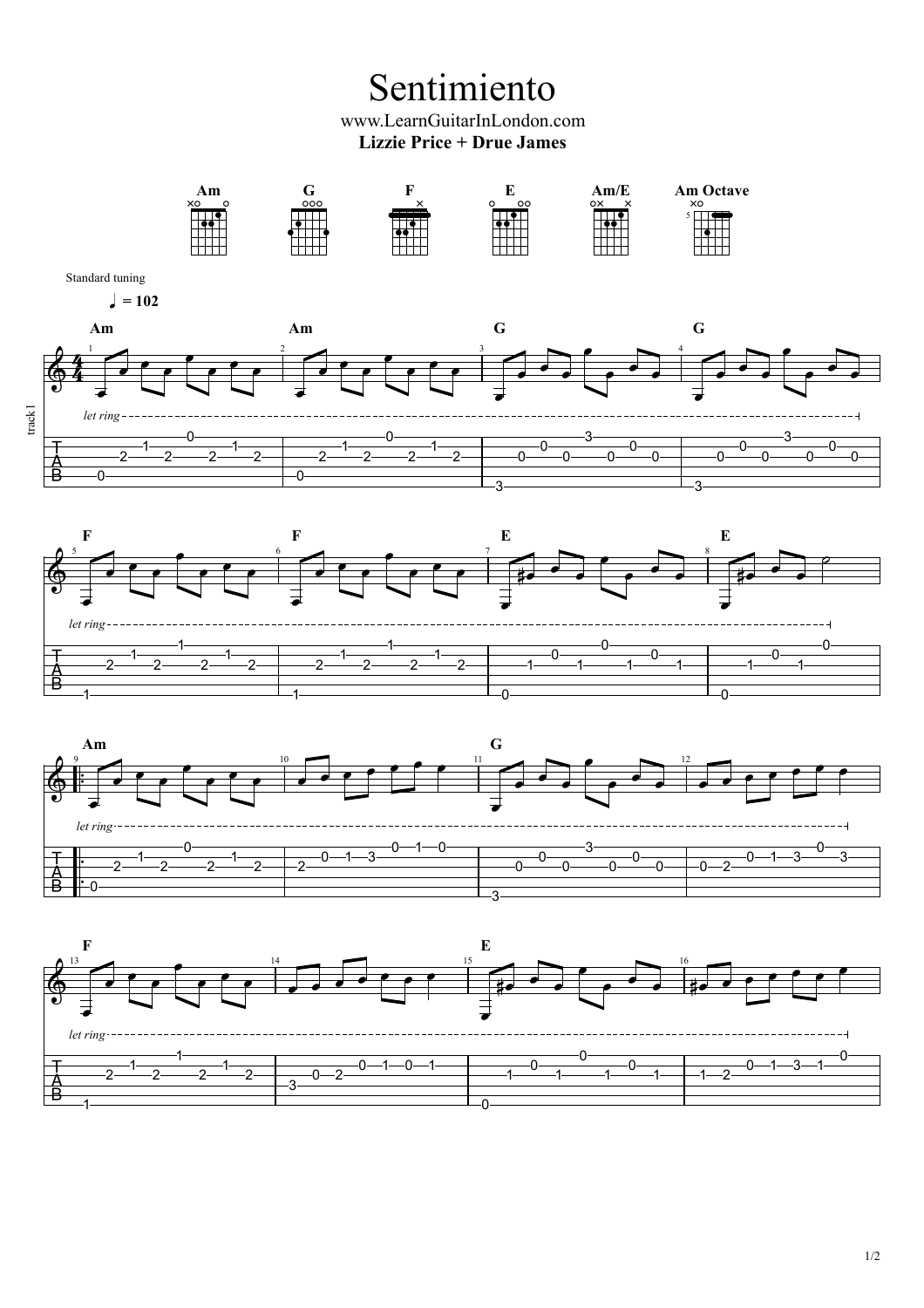Sentimiento

www.LearnGuitarInLondon.com **Lizzie Price + Drue James**



0

1